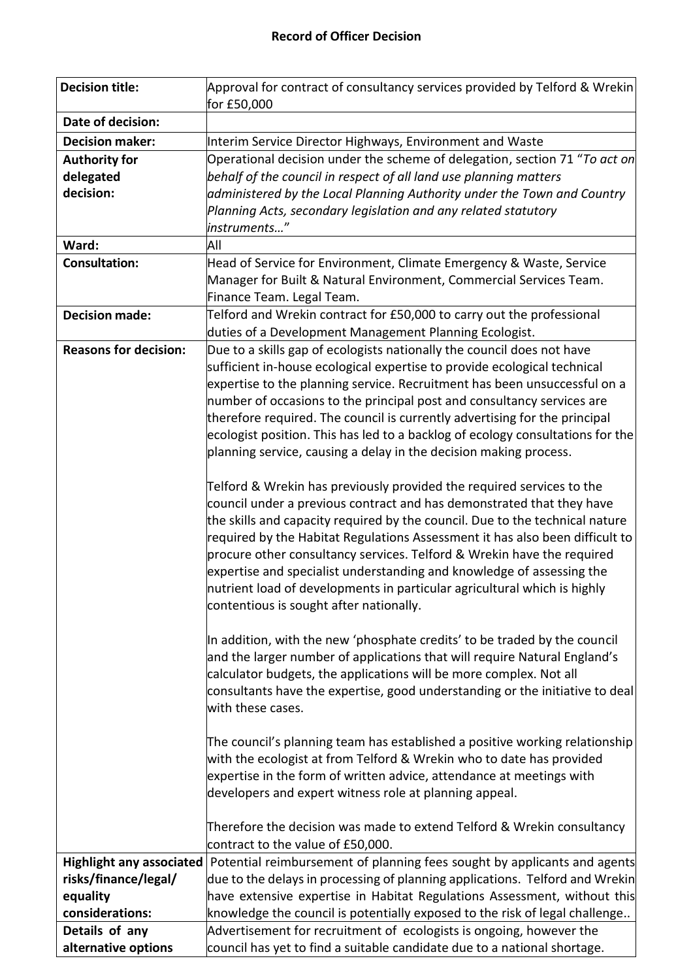| <b>Decision title:</b>          | Approval for contract of consultancy services provided by Telford & Wrekin                                                                                   |
|---------------------------------|--------------------------------------------------------------------------------------------------------------------------------------------------------------|
|                                 | for £50,000                                                                                                                                                  |
| Date of decision:               |                                                                                                                                                              |
| <b>Decision maker:</b>          | Interim Service Director Highways, Environment and Waste                                                                                                     |
| <b>Authority for</b>            | Operational decision under the scheme of delegation, section 71 "To act on                                                                                   |
| delegated<br>decision:          | behalf of the council in respect of all land use planning matters                                                                                            |
|                                 | administered by the Local Planning Authority under the Town and Country<br>Planning Acts, secondary legislation and any related statutory                    |
|                                 | instruments"                                                                                                                                                 |
| Ward:                           | All                                                                                                                                                          |
| <b>Consultation:</b>            | Head of Service for Environment, Climate Emergency & Waste, Service                                                                                          |
|                                 | Manager for Built & Natural Environment, Commercial Services Team.                                                                                           |
|                                 | Finance Team. Legal Team.                                                                                                                                    |
| <b>Decision made:</b>           | Telford and Wrekin contract for £50,000 to carry out the professional                                                                                        |
|                                 | duties of a Development Management Planning Ecologist.                                                                                                       |
| <b>Reasons for decision:</b>    | Due to a skills gap of ecologists nationally the council does not have                                                                                       |
|                                 | sufficient in-house ecological expertise to provide ecological technical                                                                                     |
|                                 | expertise to the planning service. Recruitment has been unsuccessful on a                                                                                    |
|                                 | number of occasions to the principal post and consultancy services are                                                                                       |
|                                 | therefore required. The council is currently advertising for the principal                                                                                   |
|                                 | ecologist position. This has led to a backlog of ecology consultations for the                                                                               |
|                                 | planning service, causing a delay in the decision making process.                                                                                            |
|                                 |                                                                                                                                                              |
|                                 | Telford & Wrekin has previously provided the required services to the                                                                                        |
|                                 | council under a previous contract and has demonstrated that they have                                                                                        |
|                                 | the skills and capacity required by the council. Due to the technical nature<br>required by the Habitat Regulations Assessment it has also been difficult to |
|                                 | procure other consultancy services. Telford & Wrekin have the required                                                                                       |
|                                 | expertise and specialist understanding and knowledge of assessing the                                                                                        |
|                                 | nutrient load of developments in particular agricultural which is highly                                                                                     |
|                                 | contentious is sought after nationally.                                                                                                                      |
|                                 |                                                                                                                                                              |
|                                 | In addition, with the new 'phosphate credits' to be traded by the council                                                                                    |
|                                 | and the larger number of applications that will require Natural England's                                                                                    |
|                                 | calculator budgets, the applications will be more complex. Not all                                                                                           |
|                                 | consultants have the expertise, good understanding or the initiative to deal                                                                                 |
|                                 | with these cases.                                                                                                                                            |
|                                 |                                                                                                                                                              |
|                                 | The council's planning team has established a positive working relationship                                                                                  |
|                                 | with the ecologist at from Telford & Wrekin who to date has provided                                                                                         |
|                                 | expertise in the form of written advice, attendance at meetings with<br>developers and expert witness role at planning appeal.                               |
|                                 |                                                                                                                                                              |
|                                 | Therefore the decision was made to extend Telford & Wrekin consultancy                                                                                       |
|                                 | contract to the value of £50,000.                                                                                                                            |
| <b>Highlight any associated</b> | Potential reimbursement of planning fees sought by applicants and agents                                                                                     |
| risks/finance/legal/            | due to the delays in processing of planning applications. Telford and Wrekin                                                                                 |
| equality                        | have extensive expertise in Habitat Regulations Assessment, without this                                                                                     |
| considerations:                 | knowledge the council is potentially exposed to the risk of legal challenge                                                                                  |
| Details of any                  | Advertisement for recruitment of ecologists is ongoing, however the                                                                                          |
| alternative options             | council has yet to find a suitable candidate due to a national shortage.                                                                                     |